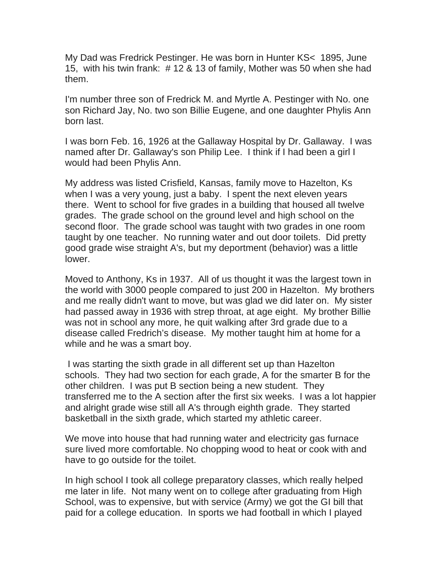My Dad was Fredrick Pestinger. He was born in Hunter KS< 1895, June 15, with his twin frank: # 12 & 13 of family, Mother was 50 when she had them.

I'm number three son of Fredrick M. and Myrtle A. Pestinger with No. one son Richard Jay, No. two son Billie Eugene, and one daughter Phylis Ann born last.

I was born Feb. 16, 1926 at the Gallaway Hospital by Dr. Gallaway. I was named after Dr. Gallaway's son Philip Lee. I think if I had been a girl I would had been Phylis Ann.

My address was listed Crisfield, Kansas, family move to Hazelton, Ks when I was a very young, just a baby. I spent the next eleven years there. Went to school for five grades in a building that housed all twelve grades. The grade school on the ground level and high school on the second floor. The grade school was taught with two grades in one room taught by one teacher. No running water and out door toilets. Did pretty good grade wise straight A's, but my deportment (behavior) was a little lower.

Moved to Anthony, Ks in 1937. All of us thought it was the largest town in the world with 3000 people compared to just 200 in Hazelton. My brothers and me really didn't want to move, but was glad we did later on. My sister had passed away in 1936 with strep throat, at age eight. My brother Billie was not in school any more, he quit walking after 3rd grade due to a disease called Fredrich's disease. My mother taught him at home for a while and he was a smart boy.

 I was starting the sixth grade in all different set up than Hazelton schools. They had two section for each grade, A for the smarter B for the other children. I was put B section being a new student. They transferred me to the A section after the first six weeks. I was a lot happier and alright grade wise still all A's through eighth grade. They started basketball in the sixth grade, which started my athletic career.

We move into house that had running water and electricity gas furnace sure lived more comfortable. No chopping wood to heat or cook with and have to go outside for the toilet.

In high school I took all college preparatory classes, which really helped me later in life. Not many went on to college after graduating from High School, was to expensive, but with service (Army) we got the GI bill that paid for a college education. In sports we had football in which I played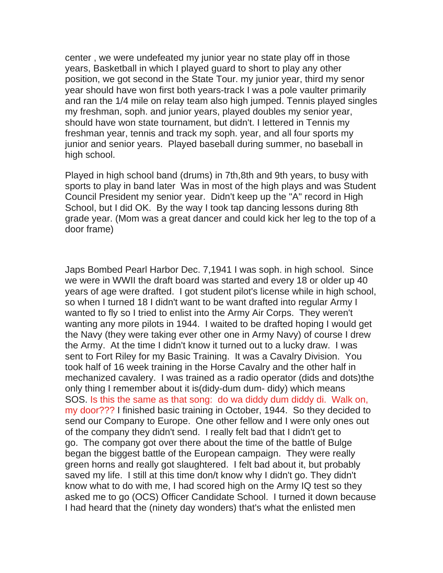center , we were undefeated my junior year no state play off in those years, Basketball in which I played guard to short to play any other position, we got second in the State Tour. my junior year, third my senor year should have won first both years-track I was a pole vaulter primarily and ran the 1/4 mile on relay team also high jumped. Tennis played singles my freshman, soph. and junior years, played doubles my senior year, should have won state tournament, but didn't. I lettered in Tennis my freshman year, tennis and track my soph. year, and all four sports my junior and senior years. Played baseball during summer, no baseball in high school.

Played in high school band (drums) in 7th,8th and 9th years, to busy with sports to play in band later Was in most of the high plays and was Student Council President my senior year. Didn't keep up the "A" record in High School, but I did OK. By the way I took tap dancing lessons during 8th grade year. (Mom was a great dancer and could kick her leg to the top of a door frame)

Japs Bombed Pearl Harbor Dec. 7,1941 I was soph. in high school. Since we were in WWII the draft board was started and every 18 or older up 40 years of age were drafted. I got student pilot's license while in high school, so when I turned 18 I didn't want to be want drafted into regular Army I wanted to fly so I tried to enlist into the Army Air Corps. They weren't wanting any more pilots in 1944. I waited to be drafted hoping I would get the Navy (they were taking ever other one in Army Navy) of course I drew the Army. At the time I didn't know it turned out to a lucky draw. I was sent to Fort Riley for my Basic Training. It was a Cavalry Division. You took half of 16 week training in the Horse Cavalry and the other half in mechanized cavalery. I was trained as a radio operator (dids and dots)the only thing I remember about it is(didy-dum dum- didy) which means SOS. Is this the same as that song: do wa diddy dum diddy di. Walk on, my door??? I finished basic training in October, 1944. So they decided to send our Company to Europe. One other fellow and I were only ones out of the company they didn't send. I really felt bad that I didn't get to go. The company got over there about the time of the battle of Bulge began the biggest battle of the European campaign. They were really green horns and really got slaughtered. I felt bad about it, but probably saved my life. I still at this time don/t know why I didn't go. They didn't know what to do with me, I had scored high on the Army IQ test so they asked me to go (OCS) Officer Candidate School. I turned it down because I had heard that the (ninety day wonders) that's what the enlisted men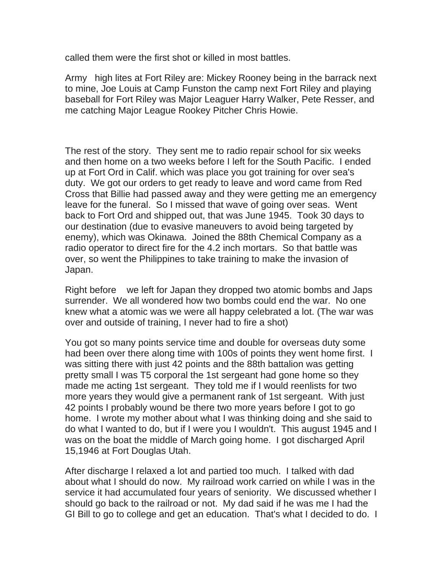called them were the first shot or killed in most battles.

Army high lites at Fort Riley are: Mickey Rooney being in the barrack next to mine, Joe Louis at Camp Funston the camp next Fort Riley and playing baseball for Fort Riley was Major Leaguer Harry Walker, Pete Resser, and me catching Major League Rookey Pitcher Chris Howie.

The rest of the story. They sent me to radio repair school for six weeks and then home on a two weeks before I left for the South Pacific. I ended up at Fort Ord in Calif. which was place you got training for over sea's duty. We got our orders to get ready to leave and word came from Red Cross that Billie had passed away and they were getting me an emergency leave for the funeral. So I missed that wave of going over seas. Went back to Fort Ord and shipped out, that was June 1945. Took 30 days to our destination (due to evasive maneuvers to avoid being targeted by enemy), which was Okinawa. Joined the 88th Chemical Company as a radio operator to direct fire for the 4.2 inch mortars. So that battle was over, so went the Philippines to take training to make the invasion of Japan.

Right before we left for Japan they dropped two atomic bombs and Japs surrender. We all wondered how two bombs could end the war. No one knew what a atomic was we were all happy celebrated a lot. (The war was over and outside of training, I never had to fire a shot)

You got so many points service time and double for overseas duty some had been over there along time with 100s of points they went home first. I was sitting there with just 42 points and the 88th battalion was getting pretty small I was T5 corporal the 1st sergeant had gone home so they made me acting 1st sergeant. They told me if I would reenlists for two more years they would give a permanent rank of 1st sergeant. With just 42 points I probably wound be there two more years before I got to go home. I wrote my mother about what I was thinking doing and she said to do what I wanted to do, but if I were you I wouldn't. This august 1945 and I was on the boat the middle of March going home. I got discharged April 15,1946 at Fort Douglas Utah.

After discharge I relaxed a lot and partied too much. I talked with dad about what I should do now. My railroad work carried on while I was in the service it had accumulated four years of seniority. We discussed whether I should go back to the railroad or not. My dad said if he was me I had the GI Bill to go to college and get an education. That's what I decided to do. I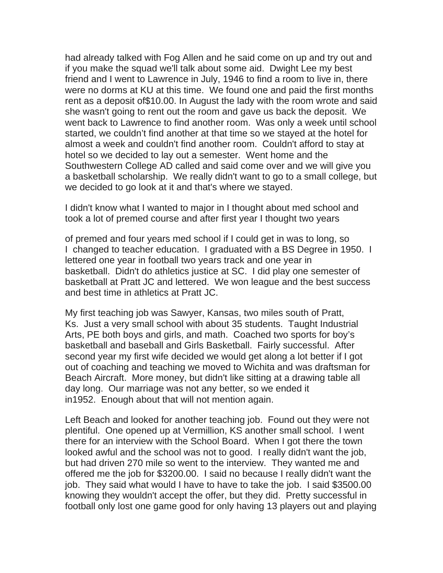had already talked with Fog Allen and he said come on up and try out and if you make the squad we'll talk about some aid. Dwight Lee my best friend and I went to Lawrence in July, 1946 to find a room to live in, there were no dorms at KU at this time. We found one and paid the first months rent as a deposit of\$10.00. In August the lady with the room wrote and said she wasn't going to rent out the room and gave us back the deposit. We went back to Lawrence to find another room. Was only a week until school started, we couldn't find another at that time so we stayed at the hotel for almost a week and couldn't find another room. Couldn't afford to stay at hotel so we decided to lay out a semester. Went home and the Southwestern College AD called and said come over and we will give you a basketball scholarship. We really didn't want to go to a small college, but we decided to go look at it and that's where we stayed.

I didn't know what I wanted to major in I thought about med school and took a lot of premed course and after first year I thought two years

of premed and four years med school if I could get in was to long, so I changed to teacher education. I graduated with a BS Degree in 1950. I lettered one year in football two years track and one year in basketball. Didn't do athletics justice at SC. I did play one semester of basketball at Pratt JC and lettered. We won league and the best success and best time in athletics at Pratt JC.

My first teaching job was Sawyer, Kansas, two miles south of Pratt, Ks. Just a very small school with about 35 students. Taught Industrial Arts, PE both boys and girls, and math. Coached two sports for boy's basketball and baseball and Girls Basketball. Fairly successful. After second year my first wife decided we would get along a lot better if I got out of coaching and teaching we moved to Wichita and was draftsman for Beach Aircraft. More money, but didn't like sitting at a drawing table all day long. Our marriage was not any better, so we ended it in1952. Enough about that will not mention again.

Left Beach and looked for another teaching job. Found out they were not plentiful. One opened up at Vermillion, KS another small school. I went there for an interview with the School Board. When I got there the town looked awful and the school was not to good. I really didn't want the job, but had driven 270 mile so went to the interview. They wanted me and offered me the job for \$3200.00. I said no because I really didn't want the job. They said what would I have to have to take the job. I said \$3500.00 knowing they wouldn't accept the offer, but they did. Pretty successful in football only lost one game good for only having 13 players out and playing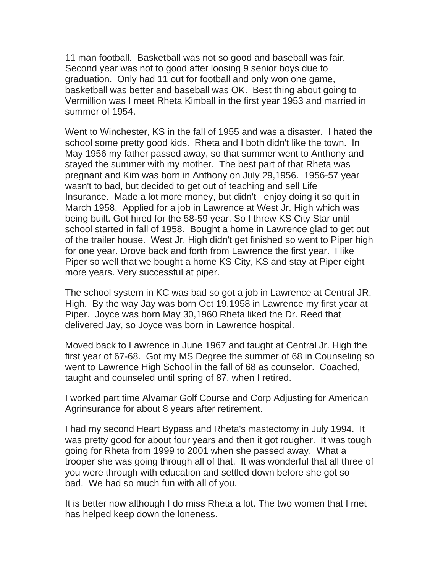11 man football. Basketball was not so good and baseball was fair. Second year was not to good after loosing 9 senior boys due to graduation. Only had 11 out for football and only won one game, basketball was better and baseball was OK. Best thing about going to Vermillion was I meet Rheta Kimball in the first year 1953 and married in summer of 1954.

Went to Winchester, KS in the fall of 1955 and was a disaster. I hated the school some pretty good kids. Rheta and I both didn't like the town. In May 1956 my father passed away, so that summer went to Anthony and stayed the summer with my mother. The best part of that Rheta was pregnant and Kim was born in Anthony on July 29,1956. 1956-57 year wasn't to bad, but decided to get out of teaching and sell Life Insurance. Made a lot more money, but didn't enjoy doing it so quit in March 1958. Applied for a job in Lawrence at West Jr. High which was being built. Got hired for the 58-59 year. So I threw KS City Star until school started in fall of 1958. Bought a home in Lawrence glad to get out of the trailer house. West Jr. High didn't get finished so went to Piper high for one year. Drove back and forth from Lawrence the first year. I like Piper so well that we bought a home KS City, KS and stay at Piper eight more years. Very successful at piper.

The school system in KC was bad so got a job in Lawrence at Central JR, High. By the way Jay was born Oct 19,1958 in Lawrence my first year at Piper. Joyce was born May 30,1960 Rheta liked the Dr. Reed that delivered Jay, so Joyce was born in Lawrence hospital.

Moved back to Lawrence in June 1967 and taught at Central Jr. High the first year of 67-68. Got my MS Degree the summer of 68 in Counseling so went to Lawrence High School in the fall of 68 as counselor. Coached, taught and counseled until spring of 87, when I retired.

I worked part time Alvamar Golf Course and Corp Adjusting for American Agrinsurance for about 8 years after retirement.

I had my second Heart Bypass and Rheta's mastectomy in July 1994. It was pretty good for about four years and then it got rougher. It was tough going for Rheta from 1999 to 2001 when she passed away. What a trooper she was going through all of that. It was wonderful that all three of you were through with education and settled down before she got so bad. We had so much fun with all of you.

It is better now although I do miss Rheta a lot. The two women that I met has helped keep down the loneness.